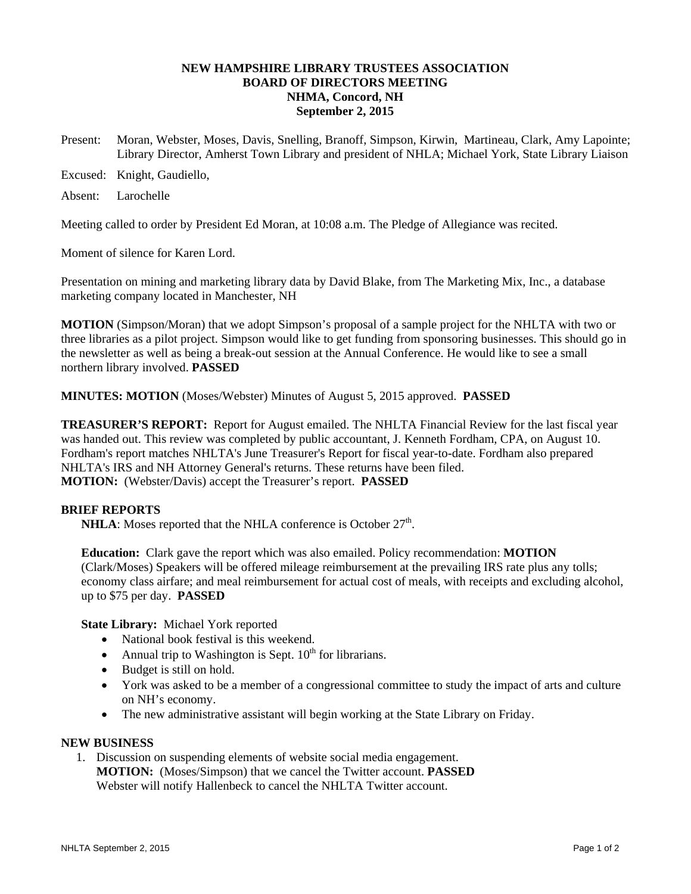# **NEW HAMPSHIRE LIBRARY TRUSTEES ASSOCIATION BOARD OF DIRECTORS MEETING NHMA, Concord, NH September 2, 2015**

- Present: Moran, Webster, Moses, Davis, Snelling, Branoff, Simpson, Kirwin, Martineau, Clark, Amy Lapointe; Library Director, Amherst Town Library and president of NHLA; Michael York, State Library Liaison
- Excused: Knight, Gaudiello,

Absent: Larochelle

Meeting called to order by President Ed Moran, at 10:08 a.m. The Pledge of Allegiance was recited.

Moment of silence for Karen Lord.

Presentation on mining and marketing library data by David Blake, from The Marketing Mix, Inc., a database marketing company located in Manchester, NH

**MOTION** (Simpson/Moran) that we adopt Simpson's proposal of a sample project for the NHLTA with two or three libraries as a pilot project. Simpson would like to get funding from sponsoring businesses. This should go in the newsletter as well as being a break-out session at the Annual Conference. He would like to see a small northern library involved. **PASSED**

**MINUTES: MOTION** (Moses/Webster) Minutes of August 5, 2015 approved. **PASSED**

**TREASURER'S REPORT:** Report for August emailed. The NHLTA Financial Review for the last fiscal year was handed out. This review was completed by public accountant, J. Kenneth Fordham, CPA, on August 10. Fordham's report matches NHLTA's June Treasurer's Report for fiscal year-to-date. Fordham also prepared NHLTA's IRS and NH Attorney General's returns. These returns have been filed. **MOTION:** (Webster/Davis) accept the Treasurer's report. **PASSED**

# **BRIEF REPORTS**

**NHLA**: Moses reported that the NHLA conference is October  $27<sup>th</sup>$ .

**Education:** Clark gave the report which was also emailed. Policy recommendation: **MOTION**  (Clark/Moses) Speakers will be offered mileage reimbursement at the prevailing IRS rate plus any tolls; economy class airfare; and meal reimbursement for actual cost of meals, with receipts and excluding alcohol, up to \$75 per day. **PASSED**

**State Library:** Michael York reported

- National book festival is this weekend.
- Annual trip to Washington is Sept.  $10^{th}$  for librarians.
- Budget is still on hold.
- York was asked to be a member of a congressional committee to study the impact of arts and culture on NH's economy.
- The new administrative assistant will begin working at the State Library on Friday.

## **NEW BUSINESS**

1. Discussion on suspending elements of website social media engagement. **MOTION:** (Moses/Simpson) that we cancel the Twitter account. **PASSED** Webster will notify Hallenbeck to cancel the NHLTA Twitter account.